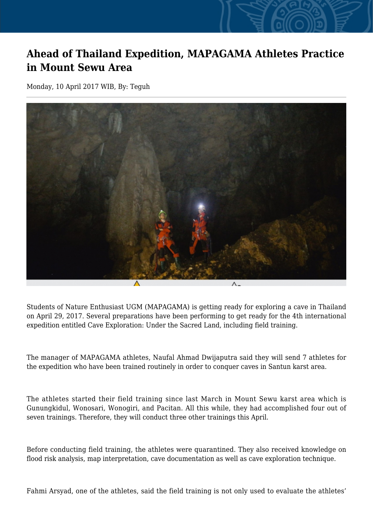## **Ahead of Thailand Expedition, MAPAGAMA Athletes Practice in Mount Sewu Area**

Monday, 10 April 2017 WIB, By: Teguh



Students of Nature Enthusiast UGM (MAPAGAMA) is getting ready for exploring a cave in Thailand on April 29, 2017. Several preparations have been performing to get ready for the 4th international expedition entitled Cave Exploration: Under the Sacred Land, including field training.

The manager of MAPAGAMA athletes, Naufal Ahmad Dwijaputra said they will send 7 athletes for the expedition who have been trained routinely in order to conquer caves in Santun karst area.

The athletes started their field training since last March in Mount Sewu karst area which is Gunungkidul, Wonosari, Wonogiri, and Pacitan. All this while, they had accomplished four out of seven trainings. Therefore, they will conduct three other trainings this April.

Before conducting field training, the athletes were quarantined. They also received knowledge on flood risk analysis, map interpretation, cave documentation as well as cave exploration technique.

Fahmi Arsyad, one of the athletes, said the field training is not only used to evaluate the athletes'